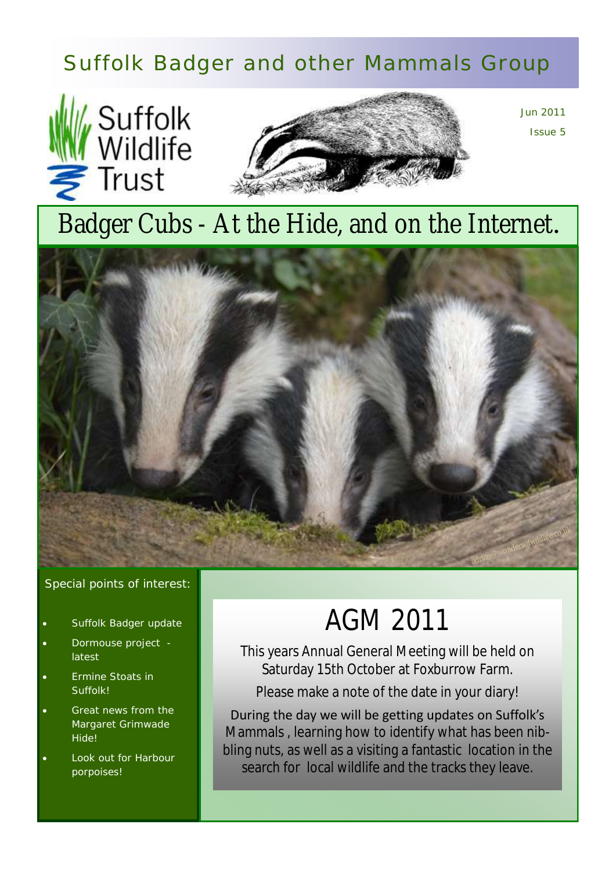# Suffolk Badger and other Mammals Group





Jun 2011 Issue 5

# Badger Cubs - At the Hide, and on the Internet*.*



#### Special points of interest:

- Suffolk Badger update
- Dormouse project latest
- Ermine Stoats in Suffolk!
- Great news from the Margaret Grimwade Hide!
- Look out for Harbour porpoises!

# AGM 2011

This years Annual General Meeting will be held on Saturday 15th October at Foxburrow Farm.

Please make a note of the date in your diary!

During the day we will be getting updates on Suffolk's Mammals , learning how to identify what has been nibbling nuts, as well as a visiting a fantastic location in the search for local wildlife and the tracks they leave.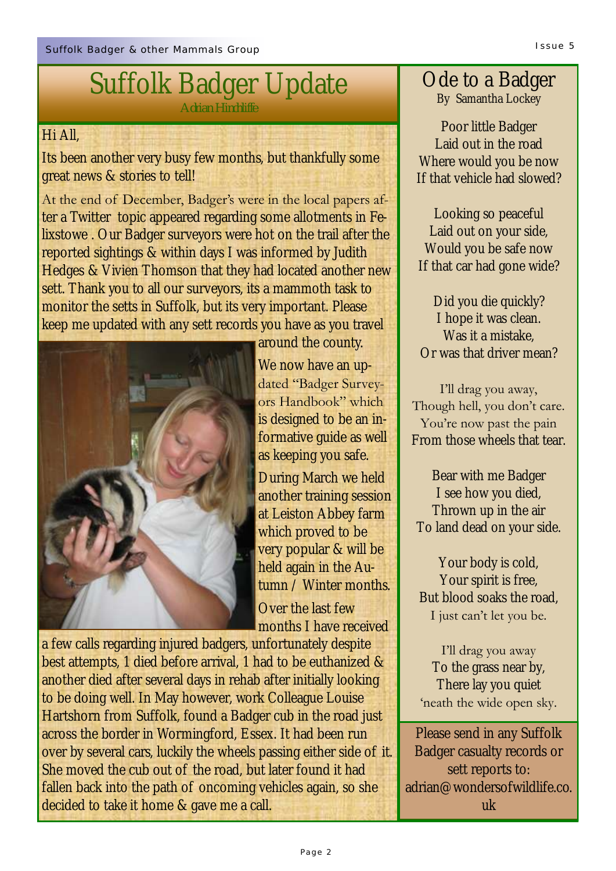#### Hi All,

Its been another very busy few months, but thankfully some great news & stories to tell!

At the end of December, Badger's were in the local papers after a Twitter topic appeared regarding some allotments in Felixstowe . Our Badger surveyors were hot on the trail after the reported sightings & within days I was informed by Judith Hedges & Vivien Thomson that they had located another new sett. Thank you to all our surveyors, its a mammoth task to monitor the setts in Suffolk, but its very important. Please keep me updated with any sett records you have as you travel



around the county. We now have an updated "Badger Surveyors Handbook" which is designed to be an informative guide as well as keeping you safe.

During March we held another training session at Leiston Abbey farm which proved to be very popular & will be held again in the Autumn / Winter months.

Over the last few months I have received

a few calls regarding injured badgers, unfortunately despite best attempts, 1 died before arrival, 1 had to be euthanized & another died after several days in rehab after initially looking to be doing well. In May however, work Colleague Louise Hartshorn from Suffolk, found a Badger cub in the road just across the border in Wormingford, Essex. It had been run over by several cars, luckily the wheels passing either side of it. She moved the cub out of the road, but later found it had fallen back into the path of oncoming vehicles again, so she decided to take it home & gave me a call.

### Ode to a Badger By Samantha Lockey

Poor little Badger Laid out in the road Where would you be now If that vehicle had slowed?

Looking so peaceful Laid out on your side, Would you be safe now If that car had gone wide?

Did you die quickly? I hope it was clean. Was it a mistake, Or was that driver mean?

I"ll drag you away, Though hell, you don"t care. You're now past the pain From those wheels that tear.

Bear with me Badger I see how you died, Thrown up in the air To land dead on your side.

Your body is cold, Your spirit is free, But blood soaks the road, I just can't let you be.

I"ll drag you away To the grass near by, There lay you quiet 'neath the wide open sky.

Please send in any Suffolk Badger casualty records or sett reports to: adrian@wondersofwildlife.co. uk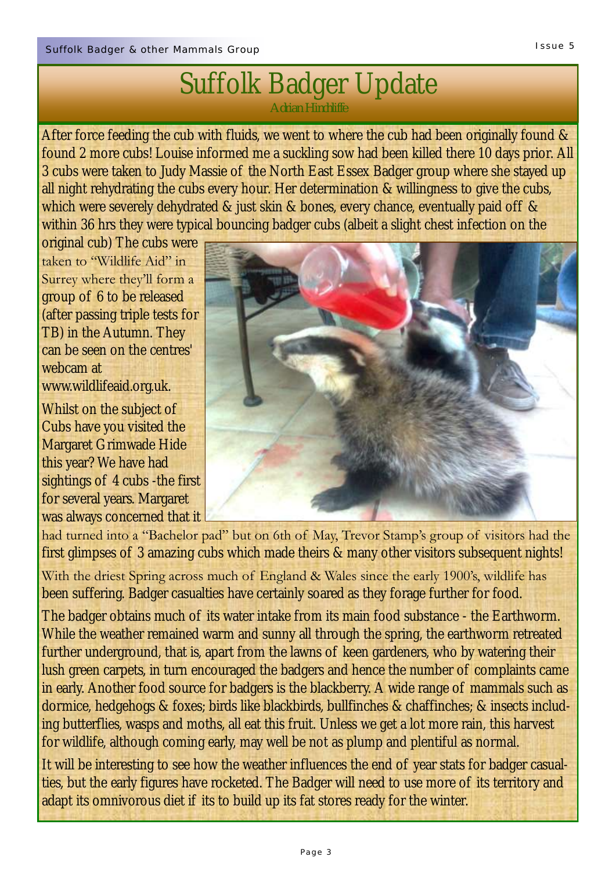# Suffolk Badger Update

*Adrian Hinchliffe*

After force feeding the cub with fluids, we went to where the cub had been originally found & found 2 more cubs! Louise informed me a suckling sow had been killed there 10 days prior. All 3 cubs were taken to Judy Massie of the North East Essex Badger group where she stayed up all night rehydrating the cubs every hour. Her determination & willingness to give the cubs, which were severely dehydrated & just skin & bones, every chance, eventually paid off & within 36 hrs they were typical bouncing badger cubs (albeit a slight chest infection on the

original cub) The cubs were taken to "Wildlife Aid" in Surrey where they"ll form a group of 6 to be released (after passing triple tests for TB) in the Autumn. They can be seen on the centres' webcam at www.wildlifeaid.org.uk.

Whilst on the subject of Cubs have you visited the Margaret Grimwade Hide this year? We have had sightings of 4 cubs -the first for several years. Margaret was always concerned that it



had turned into a "Bachelor pad" but on 6th of May, Trevor Stamp's group of visitors had the first glimpses of 3 amazing cubs which made theirs & many other visitors subsequent nights!

With the driest Spring across much of England & Wales since the early 1900's, wildlife has been suffering. Badger casualties have certainly soared as they forage further for food.

The badger obtains much of its water intake from its main food substance - the Earthworm. While the weather remained warm and sunny all through the spring, the earthworm retreated further underground, that is, apart from the lawns of keen gardeners, who by watering their lush green carpets, in turn encouraged the badgers and hence the number of complaints came in early. Another food source for badgers is the blackberry. A wide range of mammals such as dormice, hedgehogs & foxes; birds like blackbirds, bullfinches & chaffinches; & insects including butterflies, wasps and moths, all eat this fruit. Unless we get a lot more rain, this harvest for wildlife, although coming early, may well be not as plump and plentiful as normal.

It will be interesting to see how the weather influences the end of year stats for badger casualties, but the early figures have rocketed. The Badger will need to use more of its territory and adapt its omnivorous diet if its to build up its fat stores ready for the winter.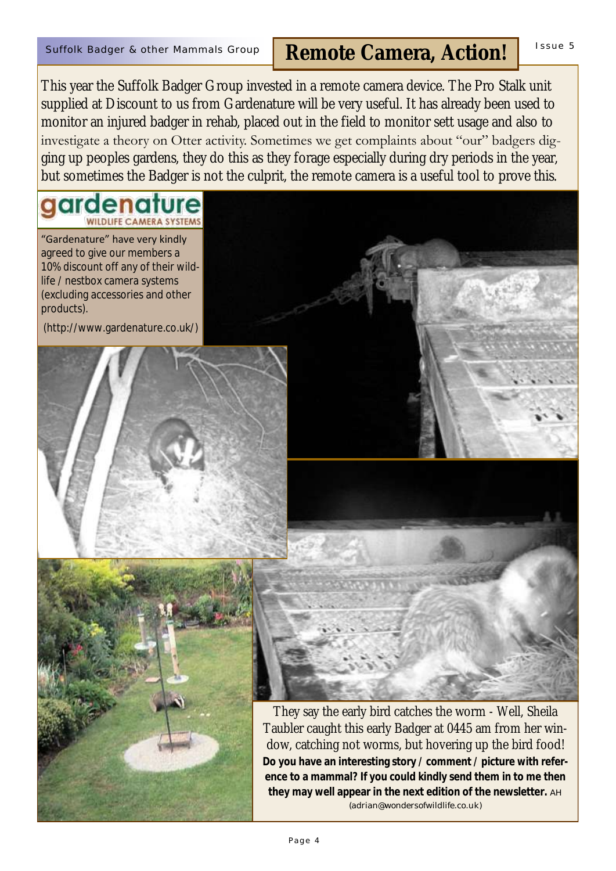## Suffolk Badger & other Mammals Group | Remote Camera, Action! | <sup>Issue 5</sup>

This year the Suffolk Badger Group invested in a remote camera device. The Pro Stalk unit supplied at Discount to us from Gardenature will be very useful. It has already been used to monitor an injured badger in rehab, placed out in the field to monitor sett usage and also to investigate a theory on Otter activity. Sometimes we get complaints about "our" badgers digging up peoples gardens, they do this as they forage especially during dry periods in the year, but sometimes the Badger is not the culprit, the remote camera is a useful tool to prove this.

#### ardenature **OLIFE CAMERA SYSTEMS**

"Gardenature" have very kindly agreed to give our members a 10% discount off any of their wildlife / nestbox camera systems (excluding accessories and other products).

(http://www.gardenature.co.uk/)







They say the early bird catches the worm - Well, Sheila Taubler caught this early Badger at 0445 am from her window, catching not worms, but hovering up the bird food! **Do you have an interesting story / comment / picture with reference to a mammal? If you could kindly send them in to me then they may well appear in the next edition of the newsletter.** AH (adrian@wondersofwildlife.co.uk)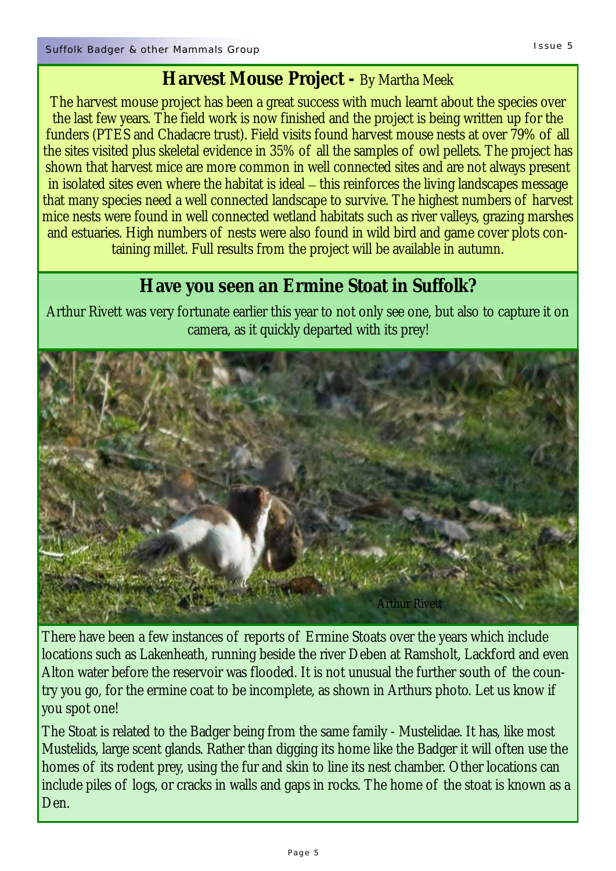## **Harvest Mouse Project -** By Martha Meek

The harvest mouse project has been a great success with much learnt about the species over the last few years. The field work is now finished and the project is being written up for the funders (PTES and Chadacre trust). Field visits found harvest mouse nests at over 79% of all the sites visited plus skeletal evidence in 35% of all the samples of owl pellets. The project has shown that harvest mice are more common in well connected sites and are not always present in isolated sites even where the habitat is ideal – this reinforces the living landscapes message that many species need a well connected landscape to survive. The highest numbers of harvest mice nests were found in well connected wetland habitats such as river valleys, grazing marshes and estuaries. High numbers of nests were also found in wild bird and game cover plots containing millet. Full results from the project will be available in autumn.

## **Have you seen an Ermine Stoat in Suffolk?**

Arthur Rivett was very fortunate earlier this year to not only see one, but also to capture it on camera, as it quickly departed with its prey!



There have been a few instances of reports of Ermine Stoats over the years which include locations such as Lakenheath, running beside the river Deben at Ramsholt, Lackford and even Alton water before the reservoir was flooded. It is not unusual the further south of the country you go, for the ermine coat to be incomplete, as shown in Arthurs photo. Let us know if you spot one!

The Stoat is related to the Badger being from the same family - Mustelidae. It has, like most Mustelids, large scent glands. Rather than digging its home like the Badger it will often use the homes of its rodent prey, using the fur and skin to line its nest chamber. Other locations can include piles of logs, or cracks in walls and gaps in rocks. The home of the stoat is known as a Den.